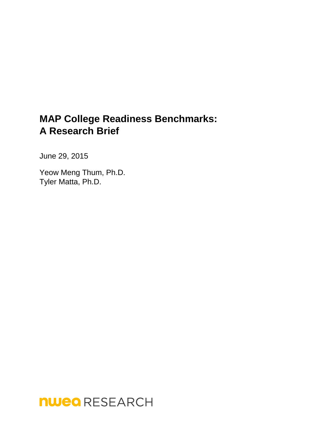# **MAP College Readiness Benchmarks: A Research Brief**

June 29, 2015

Yeow Meng Thum, Ph.D. Tyler Matta, Ph.D.

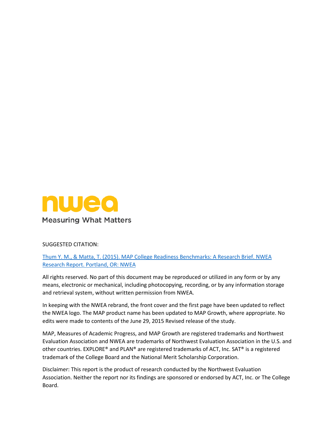

#### SUGGESTED CITATION:

Thum Y. M., & Matta, T. (2015). MAP College Readiness Benchmarks: A Research Brief. NWEA Research Report. Portland, OR: NWEA

All rights reserved. No part of this document may be reproduced or utilized in any form or by any means, electronic or mechanical, including photocopying, recording, or by any information storage and retrieval system, without written permission from NWEA.

In keeping with the NWEA rebrand, the front cover and the first page have been updated to reflect the NWEA logo. The MAP product name has been updated to MAP Growth, where appropriate. No edits were made to contents of the June 29, 2015 Revised release of the study.

MAP, Measures of Academic Progress, and MAP Growth are registered trademarks and Northwest Evaluation Association and NWEA are trademarks of Northwest Evaluation Association in the U.S. and other countries. EXPLORE® and PLAN® are registered trademarks of ACT, Inc. SAT® is a registered trademark of the College Board and the National Merit Scholarship Corporation.

Disclaimer: This report is the product of research conducted by the Northwest Evaluation Association. Neither the report nor its findings are sponsored or endorsed by ACT, Inc. or The College Board.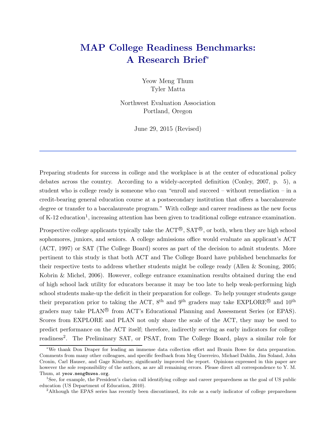# MAP College Readiness Benchmarks: A Research Brief<sup>∗</sup>

Yeow Meng Thum Tyler Matta

Northwest Evaluation Association Portland, Oregon

June 29, 2015 (Revised)

Preparing students for success in college and the workplace is at the center of educational policy debates across the country. According to a widely-accepted definition (Conley, 2007, p. 5), a student who is college ready is someone who can "enroll and succeed – without remediation – in a credit-bearing general education course at a postsecondary institution that offers a baccalaureate degree or transfer to a baccalaureate program." With college and career readiness as the new focus of K-12 education<sup>1</sup>, increasing attention has been given to traditional college entrance examination.

Prospective college applicants typically take the  $\text{ACT}^{\textcircled{B}}, \text{SAT}^{\textcircled{B}}, \text{ or both, when they are high school}$ sophomores, juniors, and seniors. A college admissions office would evaluate an applicant's ACT (ACT, 1997) or SAT (The College Board) scores as part of the decision to admit students. More pertinent to this study is that both ACT and The College Board have published benchmarks for their respective tests to address whether students might be college ready (Allen & Sconing, 2005; Kobrin & Michel, 2006). However, college entrance examination results obtained during the end of high school lack utility for educators because it may be too late to help weak-performing high school students make-up the deficit in their preparation for college. To help younger students gauge their preparation prior to taking the ACT,  $8^{\text{th}}$  and  $9^{\text{th}}$  graders may take EXPLORE<sup>®</sup> and  $10^{\text{th}}$ graders may take PLAN<sup>®</sup> from ACT's Educational Planning and Assessment Series (or EPAS). Scores from EXPLORE and PLAN not only share the scale of the ACT, they may be used to predict performance on the ACT itself; therefore, indirectly serving as early indicators for college readiness<sup>2</sup>. The Preliminary SAT, or PSAT, from The College Board, plays a similar role for

<sup>∗</sup>We thank Don Draper for leading an immense data collection effort and Branin Bowe for data preparation. Comments from many other colleagues, and specific feedback from Meg Guerreiro, Michael Dahlin, Jim Soland, John Cronin, Carl Hauser, and Gage Kinsbury, significantly improved the report. Opinions expressed in this paper are however the sole responsibility of the authors, as are all remaining errors. Please direct all correspondence to Y. M. Thum, at yeow.meng@nwea.org.

<sup>&</sup>lt;sup>1</sup>See, for example, the President's clarion call identifying college and career preparedness as the goal of US public education (US Department of Education, 2010).

<sup>&</sup>lt;sup>2</sup>Although the EPAS series has recently been discontinued, its role as a early indicator of college preparedness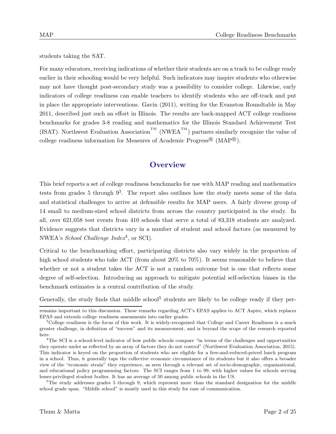students taking the SAT.

For many educators, receiving indications of whether their students are on a track to be college ready earlier in their schooling would be very helpful. Such indicators may inspire students who otherwise may not have thought post-secondary study was a possibility to consider college. Likewise, early indicators of college readiness can enable teachers to identify students who are off-track and put in place the appropriate interventions. Gavin (2011), writing for the Evanston Roundtable in May 2011, described just such an effort in Illinois. The results are back-mapped ACT college readiness benchmarks for grades 3-8 reading and mathematics for the Illinois Standard Achievement Test (ISAT). Northwest Evaluation Association<sup>TM</sup> (NWEA<sup>TM</sup>) partners similarly recognize the value of college readiness information for Measures of Academic Progress<sup>®</sup> (MAP<sup>®</sup>).

# **Overview**

This brief reports a set of college readiness benchmarks for use with MAP reading and mathematics tests from grades 5 through  $9^3$ . The report also outlines how the study meets some of the data and statistical challenges to arrive at defensible results for MAP users. A fairly diverse group of 14 small to medium-sized school districts from across the country participated in the study. In all, over 621,058 test events from 410 schools that serve a total of 83,318 students are analyzed. Evidence suggests that districts vary in a number of student and school factors (as measured by NWEA's *School Challenge Index*<sup>4</sup>, or SCI).

Critical to the benchmarking effort, participating districts also vary widely in the proportion of high school students who take ACT (from about 20% to 70%). It seems reasonable to believe that whether or not a student takes the ACT is not a random outcome but is one that reflects some degree of self-selection. Introducing an approach to mitigate potential self-selection biases in the benchmark estimates is a central contribution of the study.

Generally, the study finds that middle school<sup>5</sup> students are likely to be college ready if they per-

remains important to this discussion. These remarks regarding ACT's EPAS applies to ACT Aspire, which replaces EPAS and extends college readiness assessments into earlier grades.

<sup>&</sup>lt;sup>3</sup>College readiness is the focus of this work. It is widely-recognized that College and Career Readiness is a much greater challenge, in definition of "success" and its measurement, and is beyond the scope of the research reported here.

<sup>&</sup>lt;sup>4</sup>The SCI is a school-level indicator of how public schools compare "in terms of the challenges and opportunities they operate under as reflected by an array of factors they do not control" (Northwest Evaluation Association, 2015). This indicator is keyed on the proportion of students who are eligible for a free-and-reduced-priced lunch program in a school. Thus, it generally taps the collective economic circumstance of its students but it also offers a broader view of the "economic strain" they experience, as seen through a relevant set of socio-demographic, organizational, and educational policy programming factors. The SCI ranges from 1 to 99, with higher values for schools serving lesser-privileged student bodies. It has an average of 50 among public schools in the US.

<sup>&</sup>lt;sup>5</sup>The study addresses grades 5 through 9, which represent more than the standard designation for the middle school grade span. "Middle school" is mostly used in this study for ease of communication.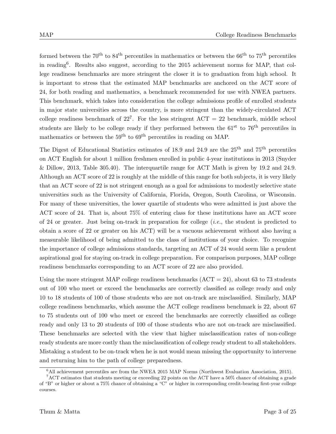formed between the  $70^{th}$  to  $84^{th}$  percentiles in mathematics or between the  $66^{th}$  to  $75^{th}$  percentiles in reading<sup>6</sup> . Results also suggest, according to the 2015 achievement norms for MAP, that college readiness benchmarks are more stringent the closer it is to graduation from high school. It is important to stress that the estimated MAP benchmarks are anchored on the ACT score of 24, for both reading and mathematics, a benchmark recommended for use with NWEA partners. This benchmark, which takes into consideration the college admissions profile of enrolled students in major state universities across the country, is more stringent than the widely-circulated ACT college readiness benchmark of  $22^7$ . For the less stringent  $ACT = 22$  benchmark, middle school students are likely to be college ready if they performed between the  $61<sup>st</sup>$  to  $76<sup>th</sup>$  percentiles in mathematics or between the  $59<sup>th</sup>$  to  $69<sup>th</sup>$  percentiles in reading on MAP.

The Digest of Educational Statistics estimates of 18.9 and 24.9 are the 25<sup>th</sup> and 75<sup>th</sup> percentiles on ACT English for about 1 million freshmen enrolled in public 4-year institutions in 2013 (Snyder & Dillow, 2013, Table 305.40). The interquartile range for ACT Math is given by 19.2 and 24.9. Although an ACT score of 22 is roughly at the middle of this range for both subjects, it is very likely that an ACT score of 22 is not stringent enough as a goal for admissions to modestly selective state universities such as the University of California, Florida, Oregon, South Carolina, or Wisconsin. For many of these universities, the lower quartile of students who were admitted is just above the ACT score of 24. That is, about 75% of entering class for these institutions have an ACT score of 24 or greater. Just being on-track in preparation for college  $(i.e.,$  the student is predicted to obtain a score of 22 or greater on his ACT) will be a vacuous achievement without also having a measurable likelihood of being admitted to the class of institutions of your choice. To recognize the importance of college admissions standards, targeting an ACT of 24 would seem like a prudent aspirational goal for staying on-track in college preparation. For comparison purposes, MAP college readiness benchmarks corresponding to an ACT score of 22 are also provided.

Using the more stringent MAP college readiness benchmarks  $(ACT = 24)$ , about 63 to 73 students out of 100 who meet or exceed the benchmarks are correctly classified as college ready and only 10 to 18 students of 100 of those students who are not on-track are misclassified. Similarly, MAP college readiness benchmarks, which assume the ACT college readiness benchmark is 22, about 67 to 75 students out of 100 who meet or exceed the benchmarks are correctly classified as college ready and only 13 to 20 students of 100 of those students who are not on-track are misclassified. These benchmarks are selected with the view that higher misclassification rates of non-college ready students are more costly than the misclassification of college ready student to all stakeholders. Mistaking a student to be on-track when he is not would mean missing the opportunity to intervene and returning him to the path of college preparedness.

 $6$ All achievement percentiles are from the NWEA 2015 MAP Norms (Northwest Evaluation Association, 2015).

<sup>7</sup>ACT estimates that students meeting or exceeding 22 points on the ACT have a 50% chance of obtaining a grade of "B" or higher or about a 75% chance of obtaining a "C" or higher in corresponding credit-bearing first-year college courses.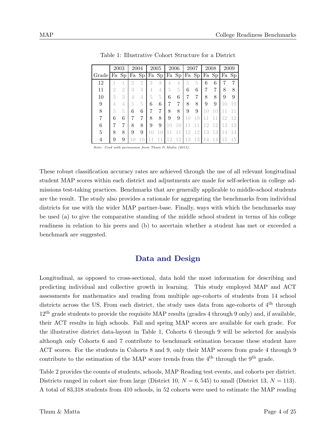|       |    | 2003           |   | 2004  |   | 2005  |    | 2006  |    | 2007  |    | 2008  |     | 2009  |
|-------|----|----------------|---|-------|---|-------|----|-------|----|-------|----|-------|-----|-------|
| Grade |    | Fa Sp          |   | Fa Sp |   | Fa Sp |    | Fa Sp |    | Fa Sp |    | Fa Sp |     | Fa Sp |
| 12    |    |                | 2 | 2     | 3 | 3     | 4  | 4     | 5  | 5     | 6  | 6     |     |       |
| 11    | O. | $\overline{2}$ | 3 | 3     |   |       | 5  | 5     | 6  | 6     |    | 7     | 8   |       |
| 10    | 3  | 3              |   | 4     |   | 5     | 6  | 6     |    | 7     | 8  | 8     | 9   |       |
| 9     |    | 4              | 5 | 5     | 6 | 6     | 7  | 7     | 8  | 8     | 9  | 9     | 1 ( |       |
| 8     | 5  | 5              | 6 | 6     |   | 7     | 8  | 8     | 9  | 9     |    |       |     |       |
| 7     | 6  | 6              |   | 7     | 8 | 8     | 9  | 9     |    |       |    |       | 12  | -12   |
| 6     |    | 7              | 8 | 8     | 9 | 9     |    |       |    |       | 12 | 12    | 13  | 13    |
| 5     | 8  | 8              | 9 | 9     |   |       |    |       | 2  | 12    | 13 | 13    |     |       |
|       | 9  | 9              |   |       |   |       | 12 | 12    | 13 | 13    |    |       | 15  | 15    |

Table 1: Illustrative Cohort Structure for a District

*Note: Used with permission from Thum & Matta (2015).*

These robust classification accuracy rates are achieved through the use of all relevant longitudinal student MAP scores within each district and adjustments are made for self-selection in college admissions test-taking practices. Benchmarks that are generally applicable to middle-school students are the result. The study also provides a rationale for aggregating the benchmarks from individual districts for use with the wider MAP partner-base. Finally, ways with which the benchmarks may be used (a) to give the comparative standing of the middle school student in terms of his college readiness in relation to his peers and (b) to ascertain whether a student has met or exceeded a benchmark are suggested.

## Data and Design

Longitudinal, as opposed to cross-sectional, data hold the most information for describing and predicting individual and collective growth in learning. This study employed MAP and ACT assessments for mathematics and reading from multiple age-cohorts of students from 14 school districts across the US. From each district, the study uses data from age-cohorts of  $4<sup>th</sup>$  through 12th grade students to provide the requisite MAP results (grades 4 through 9 only) and, if available, their ACT results in high schools. Fall and spring MAP scores are available for each grade. For the illustrative district data-layout in Table 1, Cohorts 6 through 9 will be selected for analysis although only Cohorts 6 and 7 contribute to benchmark estimation because these student have ACT scores. For the students in Cohorts 8 and 9, only their MAP scores from grade 4 through 9 contribute to the estimation of the MAP score trends from the  $4<sup>th</sup>$  through the  $9<sup>th</sup>$  grade.

Table 2 provides the counts of students, schools, MAP Reading test events, and cohorts per district. Districts ranged in cohort size from large (District 10,  $N = 6,545$ ) to small (District 13,  $N = 113$ ). A total of 83,318 students from 410 schools, in 52 cohorts were used to estimate the MAP reading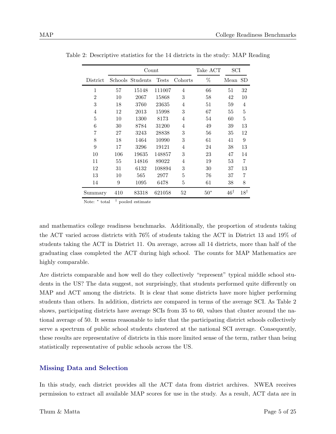|                |     | Count            |              |                | Take ACT | SCI            |                |
|----------------|-----|------------------|--------------|----------------|----------|----------------|----------------|
| District       |     | Schools Students | <b>Tests</b> | Cohorts        | %        | Mean           | SD             |
| $\mathbf{1}$   | 57  | 15148            | 111007       | $\overline{4}$ | 66       | 51             | 32             |
| $\overline{2}$ | 10  | 2067             | 15868        | 3              | 58       | 42             | 10             |
| 3              | 18  | 3760             | 23635        | 4              | 51       | 59             | 4              |
| 4              | 12  | 2013             | 15998        | 3              | 67       | 55             | 5              |
| 5              | 10  | 1300             | 8173         | $\overline{4}$ | 54       | 60             | 5              |
| 6              | 30  | 8784             | 31200        | 4              | 49       | 39             | 13             |
| 7              | 27  | 3243             | 28838        | 3              | 56       | 35             | 12             |
| 8              | 18  | 1464             | 10990        | 3              | 61       | 41             | 9              |
| 9              | 17  | 3296             | 19121        | $\overline{4}$ | 24       | 38             | 13             |
| 10             | 106 | 19635            | 148857       | 3              | 23       | 47             | 14             |
| 11             | 55  | 14816            | 89022        | 4              | 19       | 53             | 7              |
| 12             | 31  | 6132             | 108894       | 3              | 30       | 37             | 13             |
| 13             | 10  | 565              | 2977         | 5              | 76       | 37             | 7              |
| 14             | 9   | 1095             | 6478         | 5              | 61       | 38             | 8              |
| Summary        | 410 | 83318            | 621058       | 52             | $50*$    | $46^{\dagger}$ | $18^{\dagger}$ |

Table 2: Descriptive statistics for the 14 districts in the study: MAP Reading

Note:  $*$  total  $\dagger$  pooled estimate

and mathematics college readiness benchmarks. Additionally, the proportion of students taking the ACT varied across districts with 76% of students taking the ACT in District 13 and 19% of students taking the ACT in District 11. On average, across all 14 districts, more than half of the graduating class completed the ACT during high school. The counts for MAP Mathematics are highly comparable.

Are districts comparable and how well do they collectively "represent" typical middle school students in the US? The data suggest, not surprisingly, that students performed quite differently on MAP and ACT among the districts. It is clear that some districts have more higher performing students than others. In addition, districts are compared in terms of the average SCI. As Table 2 shows, participating districts have average SCIs from 35 to 60, values that cluster around the national average of 50. It seems reasonable to infer that the participating district schools collectively serve a spectrum of public school students clustered at the national SCI average. Consequently, these results are representative of districts in this more limited sense of the term, rather than being statistically representative of public schools across the US.

### Missing Data and Selection

In this study, each district provides all the ACT data from district archives. NWEA receives permission to extract all available MAP scores for use in the study. As a result, ACT data are in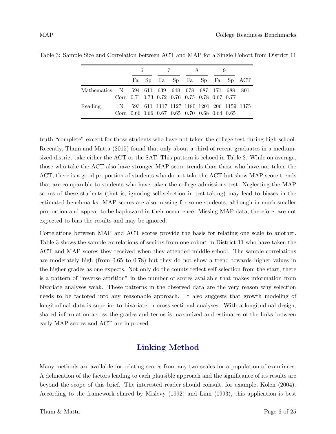|                                                   |                                               | 6                           |  | 7 | 8                                         |  | 9 |  |
|---------------------------------------------------|-----------------------------------------------|-----------------------------|--|---|-------------------------------------------|--|---|--|
|                                                   |                                               | Fa Sp Fa Sp Fa Sp Fa Sp ACT |  |   |                                           |  |   |  |
| Mathematics N 594 611 639 648 678 687 171 688 801 |                                               |                             |  |   |                                           |  |   |  |
|                                                   | Corr. 0.71 0.73 0.72 0.76 0.75 0.78 0.67 0.77 |                             |  |   |                                           |  |   |  |
| Reading                                           | N.                                            |                             |  |   | 593 611 1117 1127 1180 1201 206 1159 1375 |  |   |  |
|                                                   | Corr. 0.66 0.66 0.67 0.65 0.70 0.68 0.64 0.65 |                             |  |   |                                           |  |   |  |

Table 3: Sample Size and Correlation between ACT and MAP for a Single Cohort from District 11

truth "complete" except for those students who have not taken the college test during high school. Recently, Thum and Matta (2015) found that only about a third of recent graduates in a mediumsized district take either the ACT or the SAT. This pattern is echoed in Table 2. While on average, those who take the ACT also have stronger MAP score trends than those who have not taken the ACT, there is a good proportion of students who do not take the ACT but show MAP score trends that are comparable to students who have taken the college admissions test. Neglecting the MAP scores of these students (that is, ignoring self-selection in test-taking) may lead to biases in the estimated benchmarks. MAP scores are also missing for some students, although in much smaller proportion and appear to be haphazard in their occurrence. Missing MAP data, therefore, are not expected to bias the results and may be ignored.

Correlations between MAP and ACT scores provide the basis for relating one scale to another. Table 3 shows the sample correlations of seniors from one cohort in District 11 who have taken the ACT and MAP scores they received when they attended middle school. The sample correlations are moderately high (from 0.65 to 0.78) but they do not show a trend towards higher values in the higher grades as one expects. Not only do the counts reflect self-selection from the start, there is a pattern of "reverse attrition" in the number of scores available that makes information from bivariate analyses weak. These patterns in the observed data are the very reason why selection needs to be factored into any reasonable approach. It also suggests that growth modeling of longitudinal data is superior to bivariate or cross-sectional analyses. With a longitudinal design, shared information across the grades and terms is maximized and estimates of the links between early MAP scores and ACT are improved.

# Linking Method

Many methods are available for relating scores from any two scales for a population of examinees. A delineation of the factors leading to each plausible approach and the significance of its results are beyond the scope of this brief. The interested reader should consult, for example, Kolen (2004). According to the framework shared by Mislevy (1992) and Linn (1993), this application is best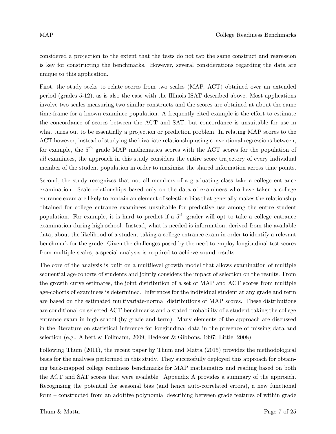considered a projection to the extent that the tests do not tap the same construct and regression is key for constructing the benchmarks. However, several considerations regarding the data are unique to this application.

First, the study seeks to relate scores from two scales (MAP, ACT) obtained over an extended period (grades 5-12), as is also the case with the Illinois ISAT described above. Most applications involve two scales measuring two similar constructs and the scores are obtained at about the same time-frame for a known examinee population. A frequently cited example is the effort to estimate the concordance of scores between the ACT and SAT, but concordance is unsuitable for use in what turns out to be essentially a projection or prediction problem. In relating MAP scores to the ACT however, instead of studying the bivariate relationship using conventional regressions between, for example, the  $5<sup>th</sup>$  grade MAP mathematics scores with the ACT scores for the population of all examinees, the approach in this study considers the entire score trajectory of every individual member of the student population in order to maximize the shared information across time points.

Second, the study recognizes that not all members of a graduating class take a college entrance examination. Scale relationships based only on the data of examinees who have taken a college entrance exam are likely to contain an element of selection bias that generally makes the relationship obtained for college entrance examinees unsuitable for predictive use among the entire student population. For example, it is hard to predict if a  $5<sup>th</sup>$  grader will opt to take a college entrance examination during high school. Instead, what is needed is information, derived from the available data, about the likelihood of a student taking a college entrance exam in order to identify a relevant benchmark for the grade. Given the challenges posed by the need to employ longitudinal test scores from multiple scales, a special analysis is required to achieve sound results.

The core of the analysis is built on a multilevel growth model that allows examination of multiple sequential age-cohorts of students and jointly considers the impact of selection on the results. From the growth curve estimates, the joint distribution of a set of MAP and ACT scores from multiple age-cohorts of examinees is determined. Inferences for the individual student at any grade and term are based on the estimated multivariate-normal distributions of MAP scores. These distributions are conditional on selected ACT benchmarks and a stated probability of a student taking the college entrance exam in high school (by grade and term). Many elements of the approach are discussed in the literature on statistical inference for longitudinal data in the presence of missing data and selection (e.g., Albert & Follmann, 2009; Hedeker & Gibbons, 1997; Little, 2008).

Following Thum (2011), the recent paper by Thum and Matta (2015) provides the methodological basis for the analyses performed in this study. They successfully deployed this approach for obtaining back-mapped college readiness benchmarks for MAP mathematics and reading based on both the ACT and SAT scores that were available. Appendix A provides a summary of the approach. Recognizing the potential for seasonal bias (and hence auto-correlated errors), a new functional form – constructed from an additive polynomial describing between grade features of within grade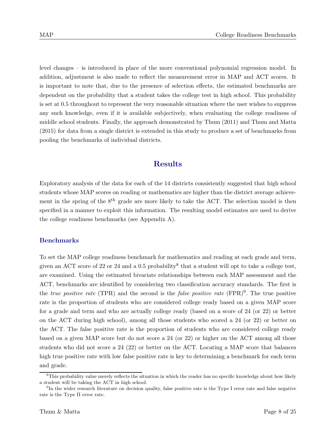level changes – is introduced in place of the more conventional polynomial regression model. In addition, adjustment is also made to reflect the measurement error in MAP and ACT scores. It is important to note that, due to the presence of selection effects, the estimated benchmarks are dependent on the probability that a student takes the college test in high school. This probability is set at 0.5 throughout to represent the very reasonable situation where the user wishes to suppress any such knowledge, even if it is available subjectively, when evaluating the college readiness of middle school students. Finally, the approach demonstrated by Thum (2011) and Thum and Matta (2015) for data from a single district is extended in this study to produce a set of benchmarks from pooling the benchmarks of individual districts.

## Results

Exploratory analysis of the data for each of the 14 districts consistently suggested that high school students whose MAP scores on reading or mathematics are higher than the district average achievement in the spring of the  $8<sup>th</sup>$  grade are more likely to take the ACT. The selection model is then specified in a manner to exploit this information. The resulting model estimates are used to derive the college readiness benchmarks (see Appendix A).

#### Benchmarks

To set the MAP college readiness benchmark for mathematics and reading at each grade and term, given an ACT score of 22 or 24 and a 0.5 probability<sup>8</sup> that a student will opt to take a college test, are examined. Using the estimated bivariate relationships between each MAP assessment and the ACT, benchmarks are identified by considering two classification accuracy standards. The first is the *true positive rate* (TPR) and the second is the *false positive rate* (FPR)<sup>9</sup>. The true positive rate is the proportion of students who are considered college ready based on a given MAP score for a grade and term and who are actually college ready (based on a score of 24 (or 22) or better on the ACT during high school), among all those students who scored a 24 (or 22) or better on the ACT. The false positive rate is the proportion of students who are considered college ready based on a given MAP score but do not score a 24 (or 22) or higher on the ACT among all those students who did not score a 24 (22) or better on the ACT. Locating a MAP score that balances high true positive rate with low false positive rate is key to determining a benchmark for each term and grade.

<sup>&</sup>lt;sup>8</sup>This probability value merely reflects the situation in which the reader has no specific knowledge about how likely a student will be taking the ACT in high school.

<sup>&</sup>lt;sup>9</sup>In the wider research literature on decision quality, false positive rate is the Type I error rate and false negative rate is the Type II error rate.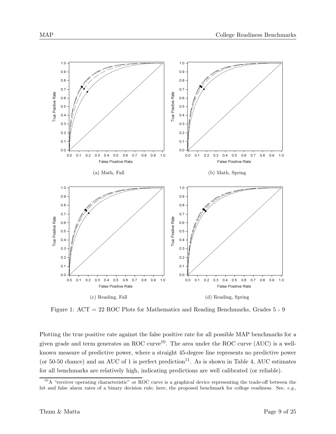

Figure 1: ACT = 22 ROC Plots for Mathematics and Reading Benchmarks, Grades 5 - 9

Plotting the true positive rate against the false positive rate for all possible MAP benchmarks for a given grade and term generates an ROC curve<sup>10</sup>. The area under the ROC curve (AUC) is a wellknown measure of predictive power, where a straight 45-degree line represents no predictive power (or 50-50 chance) and an AUC of 1 is perfect prediction<sup>11</sup>. As is shown in Table 4, AUC estimates for all benchmarks are relatively high, indicating predictions are well calibrated (or reliable).

<sup>&</sup>lt;sup>10</sup>A "receiver operating characteristic" or ROC curve is a graphical device representing the trade-off between the hit and false alarm rates of a binary decision rule; here, the proposed benchmark for college readiness. See, e.g.,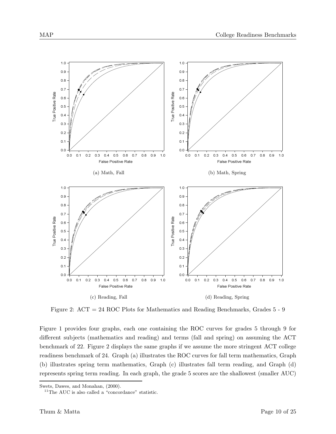

Figure 2: ACT = 24 ROC Plots for Mathematics and Reading Benchmarks, Grades 5 - 9

Figure 1 provides four graphs, each one containing the ROC curves for grades 5 through 9 for different subjects (mathematics and reading) and terms (fall and spring) on assuming the ACT benchmark of 22. Figure 2 displays the same graphs if we assume the more stringent ACT college readiness benchmark of 24. Graph (a) illustrates the ROC curves for fall term mathematics, Graph (b) illustrates spring term mathematics, Graph (c) illustrates fall term reading, and Graph (d) represents spring term reading. In each graph, the grade 5 scores are the shallowest (smaller AUC)

Swets, Dawes, and Monahan, (2000).

 $^{11}\mathrm{The\ AUC}$  is also called a "concordance" statistic.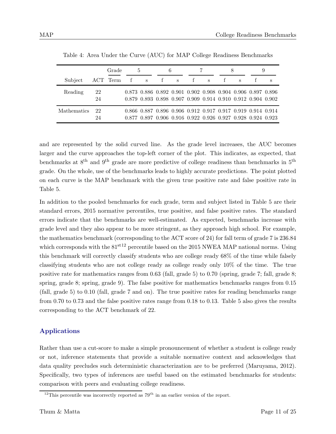|                    |          | Grade    |   | 5           |   | 6                                                                                                                          |   |   |   | 9 |   |
|--------------------|----------|----------|---|-------------|---|----------------------------------------------------------------------------------------------------------------------------|---|---|---|---|---|
| Subject            |          | ACT Term | f | $\mathbf S$ | f | S                                                                                                                          | f | S | S |   | S |
| Reading            | 22<br>24 |          |   |             |   | 0.873 0.886 0.892 0.901 0.902 0.908 0.904 0.906 0.897 0.896<br>0.879 0.893 0.898 0.907 0.909 0.914 0.910 0.912 0.904 0.902 |   |   |   |   |   |
| <b>Mathematics</b> | 22<br>24 |          |   |             |   | 0.866 0.887 0.896 0.906 0.912 0.917 0.917 0.919 0.914 0.914<br>0.877 0.897 0.906 0.916 0.922 0.926 0.927 0.928 0.924 0.923 |   |   |   |   |   |

Table 4: Area Under the Curve (AUC) for MAP College Readiness Benchmarks

and are represented by the solid curved line. As the grade level increases, the AUC becomes larger and the curve approaches the top-left corner of the plot. This indicates, as expected, that benchmarks at  $8<sup>th</sup>$  and  $9<sup>th</sup>$  grade are more predictive of college readiness than benchmarks in  $5<sup>th</sup>$ grade. On the whole, use of the benchmarks leads to highly accurate predictions. The point plotted on each curve is the MAP benchmark with the given true positive rate and false positive rate in Table 5.

In addition to the pooled benchmarks for each grade, term and subject listed in Table 5 are their standard errors, 2015 normative percentiles, true positive, and false positive rates. The standard errors indicate that the benchmarks are well-estimated. As expected, benchmarks increase with grade level and they also appear to be more stringent, as they approach high school. For example, the mathematics benchmark (corresponding to the ACT score of 24) for fall term of grade 7 is 236.84 which corresponds with the  $81<sup>st12</sup>$  percentile based on the 2015 NWEA MAP national norms. Using this benchmark will correctly classify students who are college ready 68% of the time while falsely classifying students who are not college ready as college ready only 10% of the time. The true positive rate for mathematics ranges from 0.63 (fall, grade 5) to 0.70 (spring, grade 7; fall, grade 8; spring, grade 8; spring, grade 9). The false positive for mathematics benchmarks ranges from 0.15 (fall, grade 5) to 0.10 (fall, grade 7 and on). The true positive rates for reading benchmarks range from 0.70 to 0.73 and the false positive rates range from 0.18 to 0.13. Table 5 also gives the results corresponding to the ACT benchmark of 22.

#### Applications

Rather than use a cut-score to make a simple pronouncement of whether a student is college ready or not, inference statements that provide a suitable normative context and acknowledges that data quality precludes such deterministic characterization are to be preferred (Maruyama, 2012). Specifically, two types of inferences are useful based on the estimated benchmarks for students: comparison with peers and evaluating college readiness.

<sup>&</sup>lt;sup>12</sup>This percentile was incorrectly reported as  $79<sup>th</sup>$  in an earlier version of the report.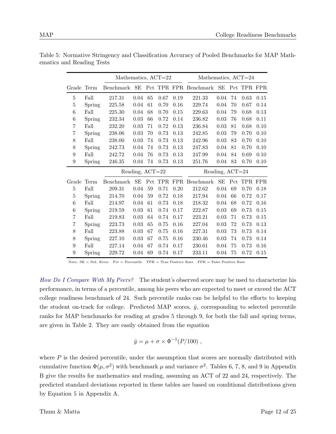|                |        | Mathematics, ACT=22 |                 |     |            |      | Mathematics, ACT=24   |                 |    |             |      |
|----------------|--------|---------------------|-----------------|-----|------------|------|-----------------------|-----------------|----|-------------|------|
| Grade          | Term   | Benchmark           | SЕ              |     |            |      | Pct TPR FPR Benchmark | $\rm SE$        |    | Pct TPR FPR |      |
| 5              | Fall   | 217.31              | 0.04            | 65  | 0.67       | 0.19 | 221.33                | 0.04            | 74 | 0.63        | 0.15 |
| 5              | Spring | 225.58              | 0.04            | 61  | 0.70       | 0.16 | 229.74                | 0.04            | 70 | 0.67        | 0.14 |
| 6              | Fall   | 225.30              | 0.04            | 68  | 0.70       | 0.15 | 229.63                | 0.04            | 79 | 0.68        | 0.13 |
| 6              | Spring | 232.34              | 0.03            | 66  | 0.72       | 0.14 | 236.82                | 0.03            | 76 | 0.68        | 0.11 |
| 7              | Fall   | 232.20              | 0.03            | 71  | 0.72       | 0.13 | 236.84                | 0.03            | 81 | 0.68        | 0.10 |
| 7              | Spring | 238.06              | 0.03            | 70  | 0.73       | 0.13 | 242.85                | 0.03            | 79 | 0.70        | 0.10 |
| 8              | Fall   | 238.00              | 0.03            | 74  | 0.73       | 0.13 | 242.96                | 0.03            | 83 | 0.70        | 0.10 |
| 8              | Spring | 242.73              | 0.04            | 74  | 0.73       | 0.13 | 247.83                | 0.04            | 81 | 0.70        | 0.10 |
| 9              | Fall   | 242.72              | 0.04            | 76  | 0.73       | 0.13 | 247.99                | 0.04            | 84 | 0.69        | 0.10 |
| 9              | Spring | 246.35              | 0.04            | 74  | 0.73       | 0.13 | 251.76                | 0.04            | 83 | 0.70        | 0.10 |
|                |        |                     |                 |     |            |      |                       |                 |    |             |      |
|                |        |                     | Reading, ACT=22 |     |            |      |                       | Reading, ACT=24 |    |             |      |
| Grade          | Term   | Benchmark           | SЕ              | Pct | <b>TPR</b> |      | FPR Benchmark         | SE              |    | Pct TPR FPR |      |
| 5              | Fall   | 209.31              | 0.04            | 59  | 0.71       | 0.20 | 212.62                | 0.04            | 69 | 0.70        | 0.18 |
| 5              | Spring | 214.70              | 0.04            | 59  | 0.72       | 0.18 | 217.94                | 0.04            | 66 | 0.72        | 0.17 |
| 6              | Fall   | 214.97              | 0.04            | 61  | 0.73       | 0.18 | 218.32                | 0.04            | 68 | 0.72        | 0.16 |
| 6              | Spring | 219.59              | $\rm 0.03$      | 61  | 0.74       | 0.17 | 222.87                | 0.03            | 69 | 0.73        | 0.15 |
| 7              | Fall   | 219.83              | 0.03            | 64  | 0.74       | 0.17 | 223.21                | 0.03            | 71 | 0.73        | 0.15 |
| $\overline{7}$ | Spring | 223.73              | 0.03            | 65  | 0.75       | 0.16 | 227.04                | 0.03            | 72 | 0.73        | 0.13 |
| 8              | Fall   | 223.88              | 0.03            | 67  | 0.75       | 0.16 | 227.31                | 0.03            | 73 | 0.73        | 0.14 |
| 8              | Spring | 227.10              | 0.03            | 67  | 0.75       | 0.16 | 230.46                | 0.03            | 74 | 0.73        | 0.14 |
| 9              | Fall   | 227.14              | 0.04            | 67  | 0.74       | 0.17 | 230.61                | 0.04            | 75 | 0.73        | 0.16 |

Table 5: Normative Stringency and Classification Accuracy of Pooled Benchmarks for MAP Mathematics and Reading Tests

Note: SE = Std. Error Pct = Percentile TPR = True Positive Rate FPR = False Positive Rate

How Do I Compare With My Peers? The student's observed score may be used to characterize his performance, in terms of a percentile, among his peers who are expected to meet or exceed the ACT college readiness benchmark of 24. Such percentile ranks can be helpful to the efforts to keeping the student on-track for college. Predicted MAP scores,  $\hat{y}$ , corresponding to selected percentile ranks for MAP benchmarks for reading at grades 5 through 9, for both the fall and spring terms, are given in Table 2. They are easily obtained from the equation

$$
\hat{y} = \mu + \sigma \times \Phi^{-1}(P/100) ,
$$

where  $P$  is the desired percentile, under the assumption that scores are normally distributed with cumulative function  $\Phi(\mu, \sigma^2)$  with benchmark  $\mu$  and variance  $\sigma^2$ . Tables 6, 7, 8, and 9 in Appendix B give the results for mathematics and reading, assuming an ACT of 22 and 24, respectively. The predicted standard deviations reported in these tables are based on conditional distributions given by Equation 5 in Appendix A.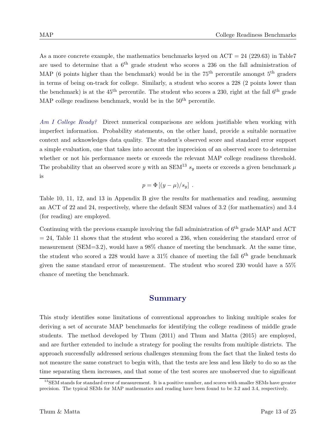As a more concrete example, the mathematics benchmarks keyed on  $ACT = 24$  (229.63) in Table7 are used to determine that a  $6<sup>th</sup>$  grade student who scores a 236 on the fall administration of MAP (6 points higher than the benchmark) would be in the  $75<sup>th</sup>$  percentile amongst  $5<sup>th</sup>$  graders in terms of being on-track for college. Similarly, a student who scores a 228 (2 points lower than the benchmark) is at the  $45<sup>th</sup>$  percentile. The student who scores a 230, right at the fall  $6<sup>th</sup>$  grade MAP college readiness benchmark, would be in the  $50<sup>th</sup>$  percentile.

Am I College Ready? Direct numerical comparisons are seldom justifiable when working with imperfect information. Probability statements, on the other hand, provide a suitable normative context and acknowledges data quality. The student's observed score and standard error support a simple evaluation, one that takes into account the imprecision of an observed score to determine whether or not his performance meets or exceeds the relevant MAP college readiness threshold. The probability that an observed score y with an SEM<sup>13</sup>  $s_y$  meets or exceeds a given benchmark  $\mu$ is

$$
p = \Phi [(y - \mu)/s_y] .
$$

Table 10, 11, 12, and 13 in Appendix B give the results for mathematics and reading, assuming an ACT of 22 and 24, respectively, where the default SEM values of 3.2 (for mathematics) and 3.4 (for reading) are employed.

Continuing with the previous example involving the fall administration of  $6<sup>th</sup>$  grade MAP and ACT  $= 24$ , Table 11 shows that the student who scored a 236, when considering the standard error of measurement (SEM=3.2), would have a 98% chance of meeting the benchmark. At the same time, the student who scored a 228 would have a  $31\%$  chance of meeting the fall  $6<sup>th</sup>$  grade benchmark given the same standard error of measurement. The student who scored 230 would have a 55% chance of meeting the benchmark.

### Summary

This study identifies some limitations of conventional approaches to linking multiple scales for deriving a set of accurate MAP benchmarks for identifying the college readiness of middle grade students. The method developed by Thum (2011) and Thum and Matta (2015) are employed, and are further extended to include a strategy for pooling the results from multiple districts. The approach successfully addressed serious challenges stemming from the fact that the linked tests do not measure the same construct to begin with, that the tests are less and less likely to do so as the time separating them increases, and that some of the test scores are unobserved due to significant

 $13$ SEM stands for standard error of measurement. It is a positive number, and scores with smaller SEMs have greater precision. The typical SEMs for MAP mathematics and reading have been found to be 3.2 and 3.4, respectively.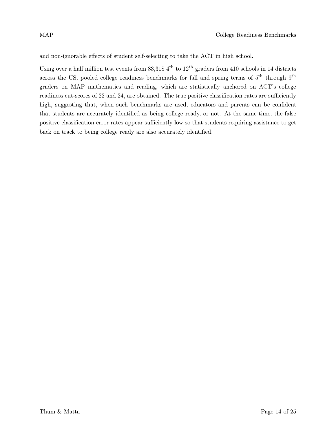and non-ignorable effects of student self-selecting to take the ACT in high school.

Using over a half million test events from  $83,3184^{\text{th}}$  to  $12^{\text{th}}$  graders from 410 schools in 14 districts across the US, pooled college readiness benchmarks for fall and spring terms of  $5<sup>th</sup>$  through  $9<sup>th</sup>$ graders on MAP mathematics and reading, which are statistically anchored on ACT's college readiness cut-scores of 22 and 24, are obtained. The true positive classification rates are sufficiently high, suggesting that, when such benchmarks are used, educators and parents can be confident that students are accurately identified as being college ready, or not. At the same time, the false positive classification error rates appear sufficiently low so that students requiring assistance to get back on track to being college ready are also accurately identified.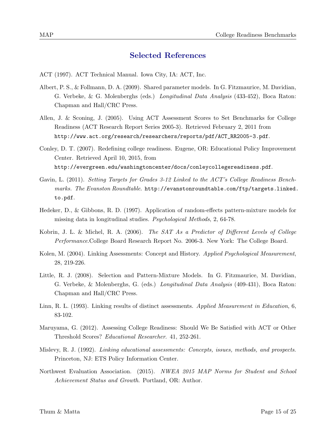### Selected References

- ACT (1997). ACT Technical Manual. Iowa City, IA: ACT, Inc.
- Albert, P. S., & Follmann, D. A. (2009). Shared parameter models. In G. Fitzmaurice, M. Davidian, G. Verbeke, & G. Molenberghs (eds.) Longitudinal Data Analysis (433-452), Boca Raton: Chapman and Hall/CRC Press.
- Allen, J. & Sconing, J. (2005). Using ACT Assessment Scores to Set Benchmarks for College Readiness (ACT Research Report Series 2005-3). Retrieved February 2, 2011 from http://www.act.org/research/researchers/reports/pdf/ACT\_RR2005-3.pdf.
- Conley, D. T. (2007). Redefining college readiness. Eugene, OR: Educational Policy Improvement Center. Retrieved April 10, 2015, from http://evergreen.edu/washingtoncenter/docs/conleycollegereadiness.pdf.
- Gavin, L. (2011). Setting Targets for Grades 3-12 Linked to the ACT's College Readiness Benchmarks. The Evanston Roundtable. http://evanstonroundtable.com/ftp/targets.linked. to.pdf.
- Hedeker, D., & Gibbons, R. D. (1997). Application of random-effects pattern-mixture models for missing data in longitudinal studies. Psychological Methods, 2, 64-78.
- Kobrin, J. L. & Michel, R. A. (2006). The SAT As a Predictor of Different Levels of College Performance.College Board Research Report No. 2006-3. New York: The College Board.
- Kolen, M. (2004). Linking Assessments: Concept and History. Applied Psychological Measurement, 28, 219-226.
- Little, R. J. (2008). Selection and Pattern-Mixture Models. In G. Fitzmaurice, M. Davidian, G. Verbeke, & Molenberghs, G. (eds.) Longitudinal Data Analysis (409-431), Boca Raton: Chapman and Hall/CRC Press.
- Linn, R. L. (1993). Linking results of distinct assessments. Applied Measurement in Education, 6, 83-102.
- Maruyama, G. (2012). Assessing College Readiness: Should We Be Satisfied with ACT or Other Threshold Scores? Educational Researcher. 41, 252-261.
- Mislevy, R. J. (1992). Linking educational assessments: Concepts, issues, methods, and prospects. Princeton, NJ: ETS Policy Information Center.
- Northwest Evaluation Association. (2015). NWEA 2015 MAP Norms for Student and School Achievement Status and Growth. Portland, OR: Author.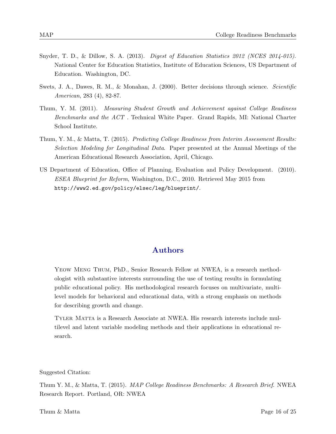- Snyder, T. D., & Dillow, S. A. (2013). Digest of Education Statistics 2012 (NCES 2014-015). National Center for Education Statistics, Institute of Education Sciences, US Department of Education. Washington, DC.
- Swets, J. A., Dawes, R. M., & Monahan, J. (2000). Better decisions through science. Scientific American, 283 (4), 82-87.
- Thum, Y. M. (2011). Measuring Student Growth and Achievement against College Readiness Benchmarks and the ACT . Technical White Paper. Grand Rapids, MI: National Charter School Institute.
- Thum, Y. M., & Matta, T. (2015). Predicting College Readiness from Interim Assessment Results: Selection Modeling for Longitudinal Data. Paper presented at the Annual Meetings of the American Educational Research Association, April, Chicago.
- US Department of Education, Office of Planning, Evaluation and Policy Development. (2010). ESEA Blueprint for Reform, Washington, D.C., 2010. Retrieved May 2015 from http://www2.ed.gov/policy/elsec/leg/blueprint/.

## Authors

Yeow Meng Thum, PhD., Senior Research Fellow at NWEA, is a research methodologist with substantive interests surrounding the use of testing results in formulating public educational policy. His methodological research focuses on multivariate, multilevel models for behavioral and educational data, with a strong emphasis on methods for describing growth and change.

Tyler Matta is a Research Associate at NWEA. His research interests include multilevel and latent variable modeling methods and their applications in educational research.

Suggested Citation:

Thum Y. M., & Matta, T. (2015). *MAP College Readiness Benchmarks: A Research Brief.* NWEA Research Report. Portland, OR: NWEA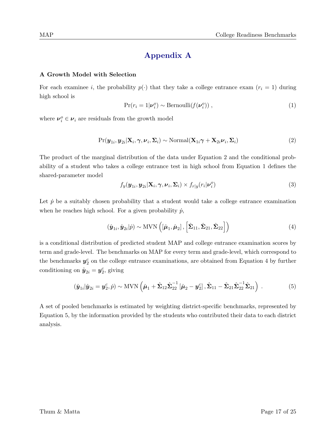# Appendix A

#### A Growth Model with Selection

For each examinee i, the probability  $p(\cdot)$  that they take a college entrance exam  $(r_i = 1)$  during high school is

$$
\Pr(r_i = 1 | \nu_i^o) \sim \text{Bernoulli}(f(\nu_i^o)), \qquad (1)
$$

where  $v_i^o \in v_i$  are residuals from the growth model

$$
Pr(\boldsymbol{y}_{1i}, \boldsymbol{y}_{2i} | \mathbf{X}_i, \boldsymbol{\gamma}, \boldsymbol{\nu}_i, \boldsymbol{\Sigma}_i) \sim \text{Normal}(\mathbf{X}_{1i} \boldsymbol{\gamma} + \mathbf{X}_{2i} \boldsymbol{\nu}_i, \boldsymbol{\Sigma}_i)
$$
(2)

The product of the marginal distribution of the data under Equation 2 and the conditional probability of a student who takes a college entrance test in high school from Equation 1 defines the shared-parameter model

$$
f_y(\boldsymbol{y}_{1i}, \boldsymbol{y}_{2i} | \mathbf{X}_i, \boldsymbol{\gamma}, \boldsymbol{\nu}_i, \boldsymbol{\Sigma}_i) \times f_{r|y}(r_i | \boldsymbol{\nu}_i^o)
$$
\n(3)

Let  $\dot{p}$  be a suitably chosen probability that a student would take a college entrance examination when he reaches high school. For a given probability  $\dot{p}$ ,

$$
(\hat{\boldsymbol{y}}_{1i}, \hat{\boldsymbol{y}}_{2i}|\dot{p}) \sim \text{MVN}\left([\hat{\boldsymbol{\mu}}_1, \hat{\boldsymbol{\mu}}_2], \left[\hat{\boldsymbol{\Sigma}}_{11}, \hat{\boldsymbol{\Sigma}}_{21}, \hat{\boldsymbol{\Sigma}}_{22}\right]\right)
$$
\n(4)

is a conditional distribution of predicted student MAP and college entrance examination scores by term and grade-level. The benchmarks on MAP for every term and grade-level, which correspond to the benchmarks  $y_2^c$  on the college entrance examinations, are obtained from Equation 4 by further conditioning on  $\hat{\mathbf{y}}_{2i} = \mathbf{y}_2^c$ , giving

$$
\left(\hat{\boldsymbol{y}}_{1i}|\hat{\boldsymbol{y}}_{2i}=\boldsymbol{y}_2^c,\dot{p}\right)\sim \text{MVN}\left(\hat{\boldsymbol{\mu}}_1+\hat{\boldsymbol{\Sigma}}_{12}\hat{\boldsymbol{\Sigma}}_{22}^{-1}\left[\hat{\boldsymbol{\mu}}_2-\boldsymbol{y}_2^c\right],\hat{\boldsymbol{\Sigma}}_{11}-\hat{\boldsymbol{\Sigma}}_{21}\hat{\boldsymbol{\Sigma}}_{22}^{-1}\hat{\boldsymbol{\Sigma}}_{21}\right).
$$
\n(5)

A set of pooled benchmarks is estimated by weighting district-specific benchmarks, represented by Equation 5, by the information provided by the students who contributed their data to each district analysis.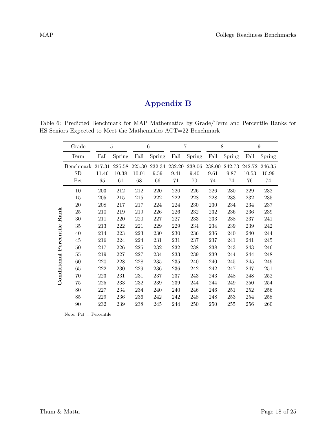# Appendix B

Table 6: Predicted Benchmark for MAP Mathematics by Grade/Term and Percentile Ranks for HS Seniors Expected to Meet the Mathematics ACT=22 Benchmark

|             | Grade     |        | 5      |         | 6       |        | $\overline{7}$ |        | 8      |        | 9      |
|-------------|-----------|--------|--------|---------|---------|--------|----------------|--------|--------|--------|--------|
|             | Term      | Fall   | Spring | Fall    | Spring  | Fall   | Spring         | Fall   | Spring | Fall   | Spring |
|             | Benchmark | 217.31 | 225.58 | 225.30  | 232.34  | 232.20 | 238.06         | 238.00 | 242.73 | 242.72 | 246.35 |
|             | SD        | 11.46  | 10.38  | 10.01   | 9.59    | 9.41   | 9.40           | 9.61   | 9.87   | 10.53  | 10.99  |
|             | Pct       | 65     | 61     | 68      | 66      | 71     | $70\,$         | 74     | 74     | 76     | 74     |
|             | 10        | 203    | 212    | 212     | 220     | 220    | 226            | 226    | 230    | 229    | 232    |
|             | 15        | 205    | 215    | $215\,$ | $222\,$ | 222    | 228            | 228    | 233    | 232    | 235    |
|             | 20        | 208    | 217    | 217     | 224     | 224    | 230            | 230    | 234    | 234    | 237    |
|             | 25        | 210    | 219    | 219     | 226     | 226    | 232            | 232    | 236    | 236    | 239    |
| Rank        | $30\,$    | 211    | 220    | 220     | 227     | 227    | 233            | 233    | 238    | 237    | 241    |
|             | $35\,$    | 213    | 222    | 221     | 229     | 229    | 234            | 234    | 239    | 239    | 242    |
|             | 40        | 214    | 223    | 223     | 230     | 230    | 236            | 236    | 240    | 240    | 244    |
| Percentile  | 45        | 216    | 224    | 224     | 231     | 231    | 237            | 237    | 241    | 241    | 245    |
|             | 50        | 217    | 226    | $225\,$ | 232     | 232    | 238            | 238    | 243    | 243    | 246    |
|             | 55        | 219    | 227    | 227     | 234     | 233    | 239            | 239    | 244    | 244    | 248    |
| Conditional | 60        | 220    | 228    | 228     | 235     | 235    | 240            | 240    | 245    | 245    | 249    |
|             | 65        | 222    | 230    | 229     | 236     | 236    | 242            | 242    | 247    | 247    | 251    |
|             | 70        | 223    | 231    | 231     | 237     | 237    | 243            | 243    | 248    | 248    | 252    |
|             | 75        | 225    | 233    | 232     | 239     | 239    | 244            | 244    | 249    | 250    | 254    |
|             | 80        | 227    | 234    | 234     | 240     | 240    | 246            | 246    | 251    | 252    | 256    |
|             | 85        | 229    | 236    | 236     | 242     | 242    | 248            | 248    | 253    | 254    | 258    |
|             | 90        | 232    | 239    | 238     | 245     | 244    | 250            | 250    | 255    | 256    | 260    |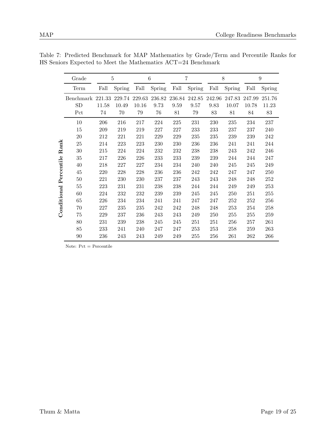|             | Grade     |        | 5      |        | 6      |        | 7      |        | 8      | 9      |        |
|-------------|-----------|--------|--------|--------|--------|--------|--------|--------|--------|--------|--------|
|             | Term      | Fall   | Spring | Fall   | Spring | Fall   | Spring | Fall   | Spring | Fall   | Spring |
|             | Benchmark | 221.33 | 229.74 | 229.63 | 236.82 | 236.84 | 242.85 | 242.96 | 247.83 | 247.99 | 251.76 |
|             | SD        | 11.58  | 10.49  | 10.16  | 9.73   | 9.59   | 9.57   | 9.83   | 10.07  | 10.78  | 11.23  |
|             | Pct       | 74     | 70     | 79     | 76     | 81     | 79     | 83     | 81     | 84     | 83     |
|             | 10        | 206    | 216    | 217    | 224    | 225    | 231    | 230    | 235    | 234    | 237    |
|             | 15        | 209    | 219    | 219    | 227    | 227    | 233    | 233    | 237    | 237    | 240    |
|             | 20        | 212    | 221    | 221    | 229    | 229    | 235    | 235    | 239    | 239    | 242    |
| $\rm{Rank}$ | 25        | 214    | 223    | 223    | 230    | 230    | 236    | 236    | 241    | 241    | 244    |
|             | 30        | 215    | 224    | 224    | 232    | 232    | 238    | 238    | 243    | 242    | 246    |
|             | 35        | 217    | 226    | 226    | 233    | 233    | 239    | 239    | 244    | 244    | 247    |
|             | 40        | 218    | 227    | 227    | 234    | 234    | 240    | 240    | 245    | 245    | 249    |
| Percentile  | 45        | 220    | 228    | 228    | 236    | 236    | 242    | 242    | 247    | 247    | 250    |
|             | 50        | 221    | 230    | 230    | 237    | 237    | 243    | 243    | 248    | 248    | 252    |
|             | 55        | 223    | 231    | 231    | 238    | 238    | 244    | 244    | 249    | 249    | 253    |
| Conditional | 60        | 224    | 232    | 232    | 239    | 239    | 245    | 245    | 250    | 251    | 255    |
|             | 65        | 226    | 234    | 234    | 241    | 241    | 247    | 247    | 252    | 252    | 256    |
|             | 70        | 227    | 235    | 235    | 242    | 242    | 248    | 248    | 253    | 254    | 258    |
|             | 75        | 229    | 237    | 236    | 243    | 243    | 249    | 250    | 255    | 255    | 259    |
|             | 80        | 231    | 239    | 238    | 245    | 245    | 251    | 251    | 256    | 257    | 261    |
|             | 85        | 233    | 241    | 240    | 247    | 247    | 253    | 253    | 258    | 259    | 263    |
|             | 90        | 236    | 243    | 243    | 249    | 249    | 255    | 256    | 261    | 262    | 266    |

Table 7: Predicted Benchmark for MAP Mathematics by Grade/Term and Percentile Ranks for HS Seniors Expected to Meet the Mathematics ACT=24 Benchmark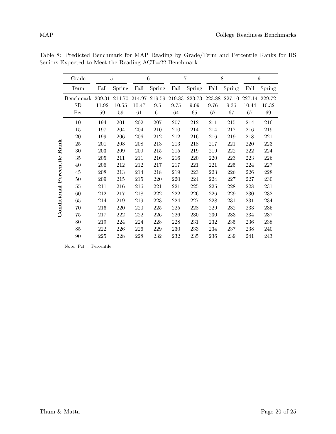|             | Grade                 |        | 5      |         | 6      |        | 7      |        | 8      |        | 9      |
|-------------|-----------------------|--------|--------|---------|--------|--------|--------|--------|--------|--------|--------|
|             | Term                  | Fall   | Spring | Fall    | Spring | Fall   | Spring | Fall   | Spring | Fall   | Spring |
|             | Benchmark             | 209.31 | 214.70 | 214.97  | 219.59 | 219.83 | 223.73 | 223.88 | 227.10 | 227.14 | 229.72 |
|             | SD                    | 11.92  | 10.55  | 10.47   | 9.5    | 9.75   | 9.09   | 9.76   | 9.36   | 10.44  | 10.32  |
|             | $\operatorname*{Pct}$ | 59     | $59\,$ | 61      | 61     | 64     | 65     | 67     | 67     | 67     | 69     |
|             | 10                    | 194    | 201    | $202\,$ | 207    | 207    | 212    | 211    | 215    | 214    | 216    |
|             | 15                    | 197    | 204    | 204     | 210    | 210    | 214    | 214    | 217    | 216    | 219    |
|             | 20                    | 199    | 206    | 206     | 212    | 212    | 216    | 216    | 219    | 218    | 221    |
| Rank        | 25                    | 201    | 208    | 208     | 213    | 213    | 218    | 217    | 221    | 220    | 223    |
|             | 30                    | 203    | 209    | 209     | 215    | 215    | 219    | 219    | 222    | 222    | 224    |
|             | 35                    | 205    | 211    | 211     | 216    | 216    | 220    | 220    | 223    | 223    | 226    |
|             | 40                    | 206    | 212    | 212     | 217    | 217    | 221    | 221    | 225    | 224    | 227    |
| Percentile  | 45                    | 208    | 213    | 214     | 218    | 219    | 223    | 223    | 226    | 226    | 228    |
|             | 50                    | 209    | 215    | 215     | 220    | 220    | 224    | 224    | 227    | 227    | 230    |
|             | 55                    | 211    | 216    | 216     | 221    | 221    | 225    | 225    | 228    | 228    | 231    |
| Conditional | 60                    | 212    | 217    | 218     | 222    | 222    | 226    | 226    | 229    | 230    | 232    |
|             | 65                    | 214    | 219    | 219     | 223    | 224    | 227    | 228    | 231    | 231    | 234    |
|             | 70                    | 216    | 220    | 220     | 225    | 225    | 228    | 229    | 232    | 233    | 235    |
|             | 75                    | 217    | 222    | 222     | 226    | 226    | 230    | 230    | 233    | 234    | 237    |
|             | 80                    | 219    | 224    | 224     | 228    | 228    | 231    | 232    | 235    | 236    | 238    |
|             | 85                    | 222    | 226    | 226     | 229    | 230    | 233    | 234    | 237    | 238    | 240    |
|             | 90                    | 225    | 228    | 228     | 232    | 232    | 235    | 236    | 239    | 241    | 243    |

Table 8: Predicted Benchmark for MAP Reading by Grade/Term and Percentile Ranks for HS Seniors Expected to Meet the Reading ACT=22 Benchmark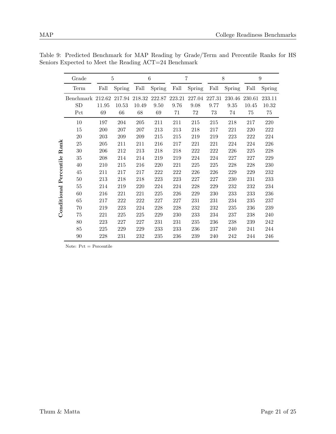|                    | Grade     |        | 5      |        | 6      |        | $\overline{7}$ |         | 8      |        | $\boldsymbol{9}$ |
|--------------------|-----------|--------|--------|--------|--------|--------|----------------|---------|--------|--------|------------------|
|                    | Term      | Fall   | Spring | Fall   | Spring | Fall   | Spring         | Fall    | Spring | Fall   | Spring           |
|                    | Benchmark | 212.62 | 217.94 | 218.32 | 222.87 | 223.21 | 227.04         | 227.31  | 230.46 | 230.61 | 233.11           |
|                    | SD        | 11.95  | 10.53  | 10.49  | 9.50   | 9.76   | 9.08           | 9.77    | 9.35   | 10.45  | 10.32            |
|                    | Pct       | 69     | 66     | 68     | 69     | 71     | $72\,$         | 73      | 74     | 75     | 75               |
|                    | 10        | 197    | 204    | 205    | 211    | 211    | 215            | 215     | 218    | 217    | 220              |
|                    | 15        | 200    | 207    | 207    | 213    | 213    | 218            | 217     | 221    | 220    | 222              |
|                    | 20        | 203    | 209    | 209    | 215    | 215    | 219            | 219     | 223    | 222    | 224              |
| $\rm{Rank}$        | 25        | 205    | 211    | 211    | 216    | 217    | 221            | 221     | 224    | 224    | 226              |
|                    | 30        | 206    | 212    | 213    | 218    | 218    | 222            | 222     | 226    | 225    | 228              |
|                    | 35        | 208    | 214    | 214    | 219    | 219    | 224            | 224     | 227    | 227    | 229              |
|                    | 40        | 210    | 215    | 216    | 220    | 221    | 225            | 225     | 228    | 228    | 230              |
| Percentile         | 45        | 211    | 217    | 217    | 222    | 222    | 226            | $226\,$ | 229    | 229    | 232              |
|                    | 50        | 213    | 218    | 218    | 223    | 223    | 227            | 227     | 230    | 231    | 233              |
|                    | 55        | 214    | 219    | 220    | 224    | 224    | 228            | 229     | 232    | 232    | 234              |
| $\rm{Conditional}$ | 60        | 216    | 221    | 221    | 225    | 226    | 229            | 230     | 233    | 233    | 236              |
|                    | 65        | 217    | 222    | 222    | 227    | 227    | 231            | 231     | 234    | 235    | 237              |
|                    | 70        | 219    | 223    | 224    | 228    | 228    | 232            | 232     | 235    | 236    | 239              |
|                    | 75        | 221    | 225    | 225    | 229    | 230    | 233            | 234     | 237    | 238    | 240              |
|                    | 80        | 223    | 227    | 227    | 231    | 231    | 235            | 236     | 238    | 239    | 242              |
|                    | 85        | 225    | 229    | 229    | 233    | 233    | 236            | 237     | 240    | 241    | 244              |
|                    | 90        | 228    | 231    | 232    | 235    | 236    | 239            | 240     | 242    | 244    | 246              |

Table 9: Predicted Benchmark for MAP Reading by Grade/Term and Percentile Ranks for HS Seniors Expected to Meet the Reading ACT=24 Benchmark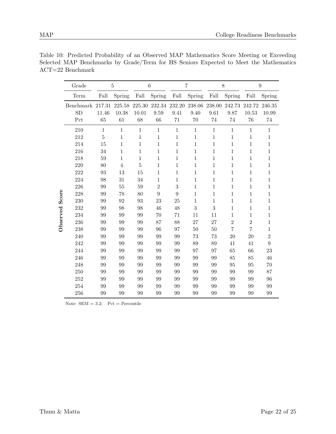|  | Table 10: Predicted Probability of an Observed MAP Mathematics Score Meeting or Exceeding |  |  |  |  |  |  |  |
|--|-------------------------------------------------------------------------------------------|--|--|--|--|--|--|--|
|  | Selected MAP Benchmarks by Grade/Term for HS Seniors Expected to Meet the Mathematics     |  |  |  |  |  |  |  |

|          | Grade                  |                | $\overline{5}$  |                 | 6              |                       | $\overline{7}$ |                | 8              |                 | $\boldsymbol{9}$ |
|----------|------------------------|----------------|-----------------|-----------------|----------------|-----------------------|----------------|----------------|----------------|-----------------|------------------|
|          | Term                   | Fall           | Spring          | $_{\rm Fall}$   | Spring         | $\operatorname{Fall}$ | Spring         | Fall           | Spring         | Fall            | Spring           |
|          | Benchmark 217.31<br>SD | 11.46          | 225.58<br>10.38 | 225.30<br>10.01 | 232.34<br>9.59 | 232.20<br>9.41        | 238.06<br>9.40 | 238.00<br>9.61 | 242.73<br>9.87 | 242.72<br>10.53 | 246.35<br>10.99  |
|          | Pct                    | 65             | 61              | 68              | 66             | 71                    | 70             | 74             | 74             | 76              | 74               |
|          | 210                    | $\mathbf{1}$   | $\mathbf{1}$    | $1\,$           | $\mathbf{1}$   | $\mathbf{1}$          | $\,1\,$        | $\mathbf{1}$   | $\mathbf 1$    | $\mathbf{1}$    | $\mathbf 1$      |
|          | 212                    | $\overline{5}$ | $\,1\,$         | $\mathbf{1}$    | 1              | $\mathbf 1$           | $\mathbf{1}$   | $\mathbf 1$    | $\mathbf 1$    | 1               | 1                |
|          | 214                    | 15             | $\mathbf{1}$    | $\mathbf 1$     | $\mathbf{1}$   | 1                     | 1              | 1              | 1              | $\mathbf{1}$    | 1                |
|          | 216                    | 34             | $\,1\,$         | $1\,$           | $\,1$          | $\mathbf{1}$          | $\mathbf{1}$   | $\mathbf 1$    | $\mathbf 1$    | $\mathbf{1}$    | 1                |
|          | 218                    | 59             | $\mathbf{1}$    | $\mathbf{1}$    | $\mathbf{1}$   | $\mathbf 1$           | 1              | 1              | 1              | $\mathbf{1}$    | 1                |
|          | 220                    | 80             | $\overline{4}$  | $\overline{5}$  | $\mathbf 1$    | $\mathbf 1$           | 1              | 1              | 1              | 1               | 1                |
|          | 222                    | 93             | 13              | 15              | $\mathbf{1}$   | 1                     | $\mathbf{1}$   | 1              | 1              | 1               | 1                |
|          | 224                    | 98             | 31              | 34              | $\mathbf 1$    | $\mathbf{1}$          | $\mathbf{1}$   | $\mathbf 1$    | $\mathbf 1$    | $\mathbf{1}$    | 1                |
|          | 226                    | 99             | $55\,$          | $59\,$          | $\overline{2}$ | 3                     | $\mathbf{1}$   | 1              | 1              | 1               | 1                |
| Score    | 228                    | 99             | 78              | 80              | 9              | 9                     | 1              | 1              | 1              | 1               | 1                |
|          | 230                    | 99             | 92              | 93              | 23             | 25                    | $\mathbf{1}$   | 1              | $\mathbf 1$    | $\mathbf{1}$    | 1                |
|          | 232                    | 99             | 98              | 98              | 46             | 48                    | 3              | 3              | $\mathbf 1$    | $\mathbf{1}$    | 1                |
| Observed | 234                    | 99             | 99              | 99              | 70             | 71                    | 11             | 11             | 1              | $\mathbf{1}$    | 1                |
|          | 236                    | 99             | 99              | 99              | 87             | 88                    | 27             | 27             | $\overline{2}$ | $\overline{2}$  | $\mathbf 1$      |
|          | 238                    | 99             | 99              | 99              | 96             | 97                    | 50             | 50             | $\overline{7}$ | $\overline{7}$  | $\mathbf 1$      |
|          | 240                    | 99             | 99              | 99              | 99             | 99                    | 73             | 73             | 20             | 20              | $\overline{2}$   |
|          | 242                    | 99             | 99              | 99              | 99             | 99                    | 89             | 89             | 41             | 41              | 9                |
|          | 244                    | 99             | 99              | 99              | 99             | 99                    | 97             | 97             | 65             | 66              | 23               |
|          | 246                    | 99             | 99              | 99              | 99             | 99                    | 99             | 99             | 85             | 85              | 46               |
|          | 248                    | 99             | 99              | 99              | 99             | 99                    | 99             | 99             | 95             | 95              | 70               |
|          | 250                    | 99             | 99              | 99              | 99             | 99                    | 99             | 99             | 99             | 99              | 87               |
|          | 252                    | 99             | 99              | 99              | 99             | 99                    | 99             | 99             | 99             | 99              | 96               |
|          | 254                    | 99             | 99              | 99              | 99             | 99                    | 99             | 99             | 99             | 99              | 99               |
|          | 256                    | 99             | 99              | 99              | 99             | 99                    | 99             | 99             | 99             | 99              | 99               |

Note:  $SEM = 3.2$ ;  $Pct = Percentage$ 

ACT=22 Benchmark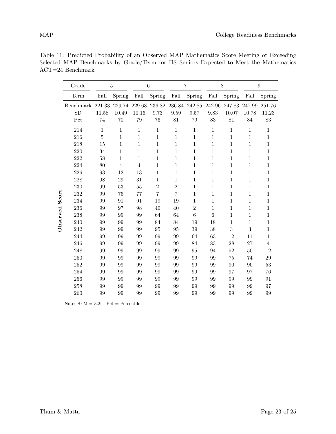|                    | Table 11: Predicted Probability of an Observed MAP Mathematics Score Meeting or Exceeding |  |  |  |  |  |  |  |
|--------------------|-------------------------------------------------------------------------------------------|--|--|--|--|--|--|--|
|                    | Selected MAP Benchmarks by Grade/Term for HS Seniors Expected to Meet the Mathematics     |  |  |  |  |  |  |  |
| $ACT=24$ Benchmark |                                                                                           |  |  |  |  |  |  |  |

|          | Grade            | $\overline{5}$ |                | 6              |                | $\overline{7}$ |                  | 8            |              | $\boldsymbol{9}$ |                |
|----------|------------------|----------------|----------------|----------------|----------------|----------------|------------------|--------------|--------------|------------------|----------------|
|          | Term             | Fall           | Spring         | Fall           | Spring         | Fall           | Spring           | Fall         | Spring       | Fall             | Spring         |
|          | Benchmark 221.33 |                | 229.74         | 229.63         | 236.82         | 236.84         | 242.85           | 242.96       | 247.83       | 247.99           | 251.76         |
| Score    | <b>SD</b>        | 11.58          | 10.49          | 10.16          | 9.73           | 9.59           | 9.57             | 9.83         | 10.07        | 10.78            | 11.23          |
|          | Pct              | 74             | 70             | 79             | 76             | 81             | 79               | 83           | 81           | 84               | 83             |
|          | 214              | $\mathbf{1}$   | $\mathbf{1}$   | $\mathbf{1}$   | $\mathbf{1}$   | $\mathbf{1}$   | $\mathbf{1}$     | $\mathbf{1}$ | $\mathbf{1}$ | $\mathbf{1}$     | $\mathbf{1}$   |
|          | 216              | $\bf 5$        | $\mathbf{1}$   | $\mathbf{1}$   | 1              | $\mathbf{1}$   | 1                | $\mathbf{1}$ | $\mathbf{1}$ | $\mathbf{1}$     | $\mathbf 1$    |
|          | 218              | 15             | $\mathbf{1}$   | $\mathbf 1$    | $\mathbf{1}$   | 1              | 1                | $\,1\,$      | $\mathbf{1}$ | $\mathbf{1}$     | 1              |
|          | 220              | 34             | $\mathbf{1}$   | 1              | $\mathbf{1}$   | $\mathbf{1}$   | $\mathbf 1$      | $\mathbf{1}$ | $\mathbf{1}$ | $\mathbf{1}$     | $\mathbf 1$    |
|          | 222              | 58             | $\mathbf{1}$   | $\mathbf 1$    | $\mathbf{1}$   | $\mathbf{1}$   | $\mathbf{1}$     | $\,1$        | $\mathbf{1}$ | $\mathbf{1}$     | $\mathbf 1$    |
|          | 224              | 80             | $\overline{4}$ | $\overline{4}$ | $\mathbf 1$    | $\mathbf{1}$   | 1                | $\mathbf{1}$ | $\mathbf{1}$ | $\mathbf{1}$     | 1              |
|          | 226              | 93             | 12             | 13             | $\mathbf 1$    | $\mathbf{1}$   | 1                | $\mathbf{1}$ | $\mathbf{1}$ | $\mathbf{1}$     | $\mathbf 1$    |
|          | 228              | 98             | 29             | 31             | $\mathbf{1}$   | 1              | $\mathbf 1$      | $\mathbf{1}$ | $\mathbf{1}$ | $\mathbf{1}$     | 1              |
|          | 230              | 99             | 53             | 55             | $\overline{2}$ | $\overline{2}$ | $\mathbf 1$      | $\mathbf{1}$ | $\mathbf{1}$ | $\mathbf{1}$     | $\mathbf 1$    |
|          | 232              | 99             | 76             | 77             | $\overline{7}$ | $\overline{7}$ | $\mathbf 1$      | $\mathbf{1}$ | $\mathbf{1}$ | $\mathbf{1}$     | 1              |
|          | 234              | 99             | 91             | 91             | 19             | 19             | 1                | $\mathbf{1}$ | $\mathbf{1}$ | $\mathbf{1}$     | $\mathbf 1$    |
|          | 236              | 99             | 97             | 98             | 40             | 40             | $\boldsymbol{2}$ | $\,1$        | $\mathbf{1}$ | $\mathbf{1}$     | 1              |
| Observed | 238              | 99             | 99             | 99             | 64             | 64             | 6                | 6            | $\mathbf{1}$ | $\mathbf{1}$     | $\mathbf 1$    |
|          | 240              | 99             | 99             | 99             | 84             | 84             | 19               | 18           | $\mathbf{1}$ | $\mathbf{1}$     | $\mathbf 1$    |
|          | 242              | 99             | 99             | 99             | 95             | 95             | 39               | 38           | $\sqrt{3}$   | 3                | 1              |
|          | 244              | 99             | 99             | 99             | 99             | 99             | 64               | 63           | 12           | 11               | $\mathbf 1$    |
|          | 246              | 99             | 99             | 99             | 99             | 99             | 84               | 83           | 28           | 27               | $\overline{4}$ |
|          | 248              | 99             | 99             | 99             | 99             | 99             | 95               | 94           | $52\,$       | 50               | 12             |
|          | 250              | 99             | 99             | 99             | 99             | 99             | 99               | 99           | 75           | 74               | $\,29$         |
|          | 252              | 99             | 99             | 99             | 99             | 99             | 99               | 99           | 90           | 90               | 53             |
|          | 254              | 99             | 99             | 99             | 99             | 99             | 99               | 99           | 97           | 97               | 76             |
|          | 256              | 99             | 99             | 99             | 99             | 99             | 99               | 99           | 99           | 99               | 91             |
|          | 258              | 99             | 99             | 99             | 99             | 99             | 99               | 99           | 99           | 99               | 97             |
|          | 260              | 99             | 99             | 99             | 99             | 99             | 99               | 99           | 99           | 99               | 99             |

Note:  $SEM = 3.2$ ;  $Pct = Percentage$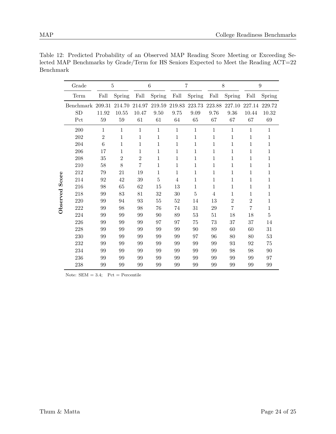|                   | Grade            | $\overline{5}$ |                | 6            |              | 7              |              | 8      |                | $\boldsymbol{9}$ |         |
|-------------------|------------------|----------------|----------------|--------------|--------------|----------------|--------------|--------|----------------|------------------|---------|
|                   | Term             | Fall           | Spring         | Fall         | Spring       | Fall           | Spring       | Fall   | Spring         | Fall             | Spring  |
|                   | Benchmark 209.31 |                | 214.70         | 214.97       | $219.59\,$   | 219.83         | 223.73       | 223.88 | 227.10         | 227.14           | 229.72  |
| Score<br>Observed | <b>SD</b>        | 11.92          | 10.55          | 10.47        | 9.50         | 9.75           | 9.09         | 9.76   | 9.36           | 10.44            | 10.32   |
|                   | Pct              | 59             | 59             | 61           | 61           | 64             | 65           | 67     | 67             | 67               | 69      |
|                   | 200              | $\mathbf{1}$   | $\mathbf{1}$   | $\mathbf{1}$ | $\mathbf{1}$ | $\mathbf{1}$   | $\mathbf{1}$ | 1      | 1              | $\mathbf{1}$     | 1       |
|                   | 202              | $\overline{2}$ | 1              | 1            | 1            | 1              | 1            | 1      | 1              | 1                | 1       |
|                   | 204              | 6              | 1              | 1            | 1            | 1              | 1            | 1      | 1              | 1                | 1       |
|                   | 206              | 17             | 1              | 1            | 1            | 1              | 1            | 1      | 1              | 1                | 1       |
|                   | 208              | 35             | $\overline{2}$ | $\mathbf{2}$ | 1            | 1              | 1            | 1      | 1              | 1                | 1       |
|                   | 210              | 58             | 8              | 7            | $\mathbf{1}$ | $\mathbf 1$    | 1            | 1      | 1              | 1                | 1       |
|                   | 212              | 79             | 21             | 19           | $\mathbf 1$  | $\mathbf 1$    | $\mathbf 1$  | 1      | $\mathbf 1$    | $\mathbf 1$      | 1       |
|                   | 214              | 92             | 42             | 39           | $\mathbf 5$  | $\overline{4}$ | 1            | 1      | 1              | 1                | 1       |
|                   | 216              | 98             | 65             | 62           | 15           | 13             | $\mathbf 1$  | 1      | 1              | 1                | 1       |
|                   | 218              | 99             | 83             | 81           | 32           | 30             | 5            | 4      | 1              | 1                | 1       |
|                   | 220              | 99             | 94             | 93           | 55           | $52\,$         | 14           | 13     | $\overline{2}$ | $\overline{2}$   | 1       |
|                   | 222              | 99             | 98             | 98           | 76           | 74             | 31           | 29     | $\overline{7}$ | 7                | 1       |
|                   | 224              | 99             | 99             | 99           | 90           | 89             | 53           | 51     | 18             | 18               | $\bf 5$ |
|                   | 226              | 99             | 99             | 99           | 97           | 97             | 75           | 73     | 37             | 37               | 14      |
|                   | 228              | 99             | 99             | 99           | 99           | 99             | 90           | 89     | 60             | 60               | 31      |
|                   | 230              | 99             | 99             | 99           | 99           | 99             | 97           | 96     | 80             | 80               | 53      |
|                   | 232              | 99             | 99             | 99           | 99           | 99             | 99           | 99     | 93             | 92               | 75      |
|                   | 234              | 99             | 99             | 99           | 99           | 99             | 99           | 99     | 98             | 98               | 90      |
|                   | 236              | 99             | 99             | 99           | 99           | 99             | 99           | 99     | 99             | 99               | 97      |
|                   | 238              | 99             | 99             | 99           | 99           | 99             | 99           | 99     | 99             | 99               | 99      |

Table 12: Predicted Probability of an Observed MAP Reading Score Meeting or Exceeding Selected MAP Benchmarks by Grade/Term for HS Seniors Expected to Meet the Reading ACT=22 Benchmark

Note:  $SEM = 3.4$ ;  $Pct = Percentage$